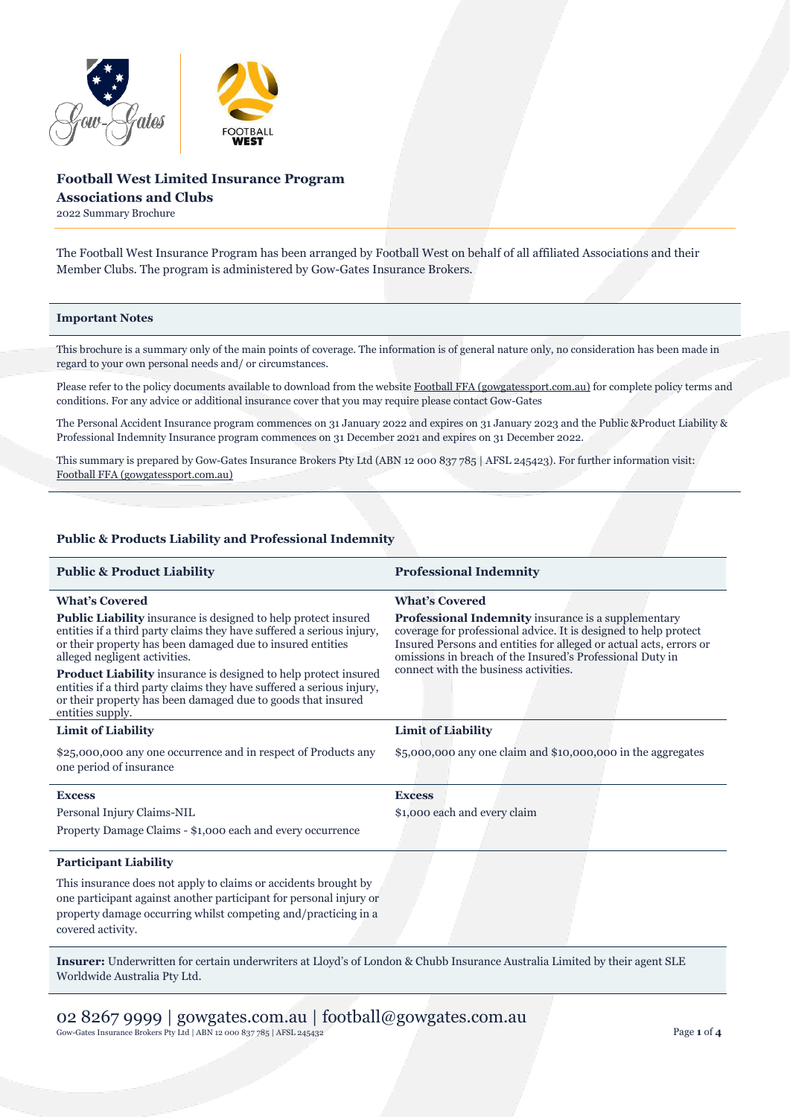

# **Football West Limited Insurance Program Associations and Clubs**

2022 Summary Brochure

The Football West Insurance Program has been arranged by Football West on behalf of all affiliated Associations and their Member Clubs. The program is administered by Gow-Gates Insurance Brokers.

### **Important Notes**

This brochure is a summary only of the main points of coverage. The information is of general nature only, no consideration has been made in regard to your own personal needs and/ or circumstances.

Please refer to the policy documents available to download from the websit[e Football FFA \(gowgatessport.com.au\)](https://football.gowgatessport.com.au/) for complete policy terms and conditions. For any advice or additional insurance cover that you may require please contact Gow-Gates

The Personal Accident Insurance program commences on 31 January 2022 and expires on 31 January 2023 and the Public &Product Liability & Professional Indemnity Insurance program commences on 31 December 2021 and expires on 31 December 2022.

This summary is prepared by Gow-Gates Insurance Brokers Pty Ltd (ABN 12 000 837 785 | AFSL 245423). For further information visit: [Football FFA \(gowgatessport.com.au\)](https://football.gowgatessport.com.au/)

## **Public & Products Liability and Professional Indemnity**

| <b>Professional Indemnity</b>                                                                                                                                                                                                                                                                       |
|-----------------------------------------------------------------------------------------------------------------------------------------------------------------------------------------------------------------------------------------------------------------------------------------------------|
| <b>What's Covered</b>                                                                                                                                                                                                                                                                               |
| Professional Indemnity insurance is a supplementary<br>coverage for professional advice. It is designed to help protect<br>Insured Persons and entities for alleged or actual acts, errors or<br>omissions in breach of the Insured's Professional Duty in<br>connect with the business activities. |
|                                                                                                                                                                                                                                                                                                     |
| $$5,000,000$ any one claim and $$10,000,000$ in the aggregates                                                                                                                                                                                                                                      |
| <b>Excess</b>                                                                                                                                                                                                                                                                                       |
| \$1,000 each and every claim                                                                                                                                                                                                                                                                        |
|                                                                                                                                                                                                                                                                                                     |
|                                                                                                                                                                                                                                                                                                     |
|                                                                                                                                                                                                                                                                                                     |
|                                                                                                                                                                                                                                                                                                     |

**Insurer:** Underwritten for certain underwriters at Lloyd's of London & Chubb Insurance Australia Limited by their agent SLE Worldwide Australia Pty Ltd.

02 8267 9999 | gowgates.com.au | football@gowgates.com.au Gow-Gates Insurance Brokers Pty Ltd | ABN 12 000 837 785 | AFSL 245432 Page **1** of **4**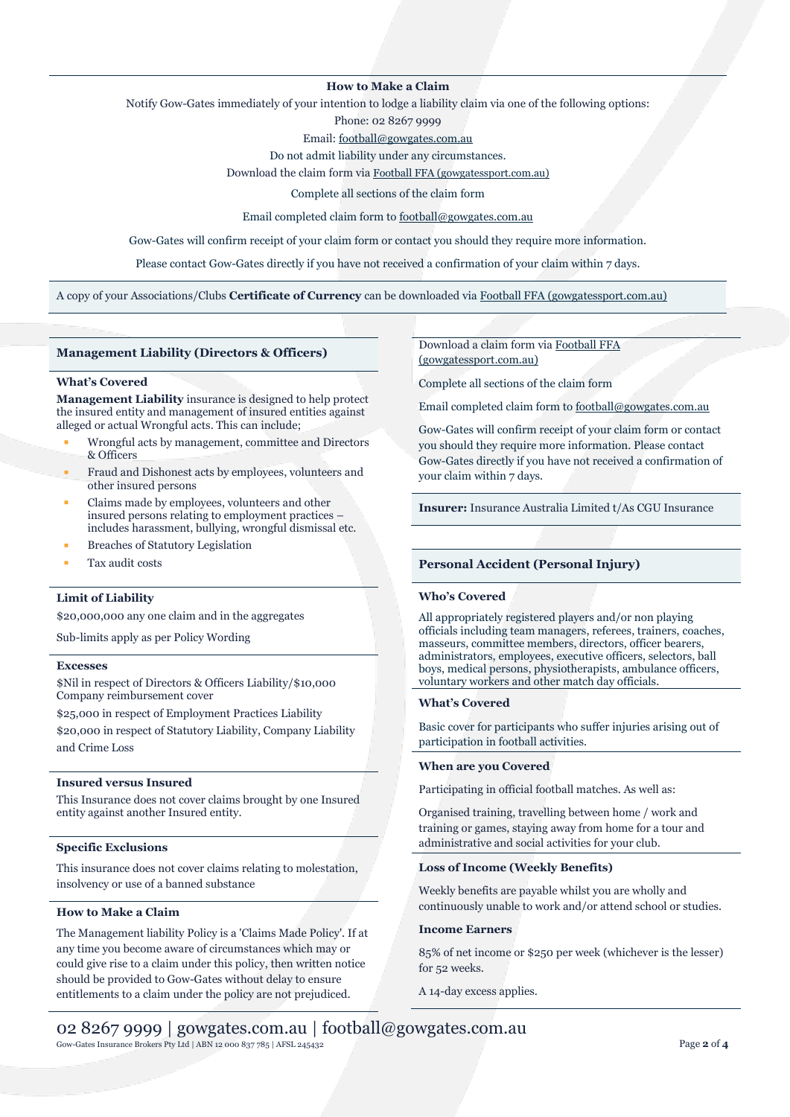## **How to Make a Claim**

Notify Gow-Gates immediately of your intention to lodge a liability claim via one of the following options:

Phone: 02 8267 9999

Email[: football@gowgates.com.au](mailto:football@gowgates.com.au)

Do not admit liability under any circumstances.

Download the claim form via [Football FFA \(gowgatessport.com.au\)](https://football.gowgatessport.com.au/)

Complete all sections of the claim form

Email completed claim form to [football@gowgates.com.au](mailto:football@gowgates.com.au)

Gow-Gates will confirm receipt of your claim form or contact you should they require more information.

Please contact Gow-Gates directly if you have not received a confirmation of your claim within 7 days.

A copy of your Associations/Clubs **Certificate of Currency** can be downloaded via [Football FFA \(gowgatessport.com.au\)](https://football.gowgatessport.com.au/)

### **Management Liability (Directors & Officers)**

#### **What's Covered**

**Management Liability** insurance is designed to help protect the insured entity and management of insured entities against alleged or actual Wrongful acts. This can include;

- Wrongful acts by management, committee and Directors & Officers
- Fraud and Dishonest acts by employees, volunteers and other insured persons
- Claims made by employees, volunteers and other insured persons relating to employment practices – includes harassment, bullying, wrongful dismissal etc.
- **Breaches of Statutory Legislation**
- Tax audit costs

# **Limit of Liability**

\$20,000,000 any one claim and in the aggregates

Sub-limits apply as per Policy Wording

### **Excesses**

\$Nil in respect of Directors & Officers Liability/\$10,000 Company reimbursement cover

\$25,000 in respect of Employment Practices Liability \$20,000 in respect of Statutory Liability, Company Liability and Crime Loss

#### **Insured versus Insured**

This Insurance does not cover claims brought by one Insured entity against another Insured entity.

### **Specific Exclusions**

This insurance does not cover claims relating to molestation, insolvency or use of a banned substance

## **How to Make a Claim**

The Management liability Policy is a 'Claims Made Policy'. If at any time you become aware of circumstances which may or could give rise to a claim under this policy, then written notice should be provided to Gow-Gates without delay to ensure entitlements to a claim under the policy are not prejudiced.

Download a claim form vi[a Football FFA](https://football.gowgatessport.com.au/)  [\(gowgatessport.com.au\)](https://football.gowgatessport.com.au/)

Complete all sections of the claim form

Email completed claim form to [football@gowgates.com.au](mailto:football@gowgates.com.au)

Gow-Gates will confirm receipt of your claim form or contact you should they require more information. Please contact Gow-Gates directly if you have not received a confirmation of your claim within 7 days.

**Insurer:** Insurance Australia Limited t/As CGU Insurance

#### **Personal Accident (Personal Injury)**

#### **Who's Covered**

All appropriately registered players and/or non playing officials including team managers, referees, trainers, coaches, masseurs, committee members, directors, officer bearers, administrators, employees, executive officers, selectors, ball boys, medical persons, physiotherapists, ambulance officers, voluntary workers and other match day officials.

#### **What's Covered**

Basic cover for participants who suffer injuries arising out of participation in football activities.

#### **When are you Covered**

Participating in official football matches. As well as:

Organised training, travelling between home / work and training or games, staying away from home for a tour and administrative and social activities for your club.

#### **Loss of Income (Weekly Benefits)**

Weekly benefits are payable whilst you are wholly and continuously unable to work and/or attend school or studies.

#### **Income Earners**

85% of net income or \$250 per week (whichever is the lesser) for 52 weeks.

A 14-day excess applies.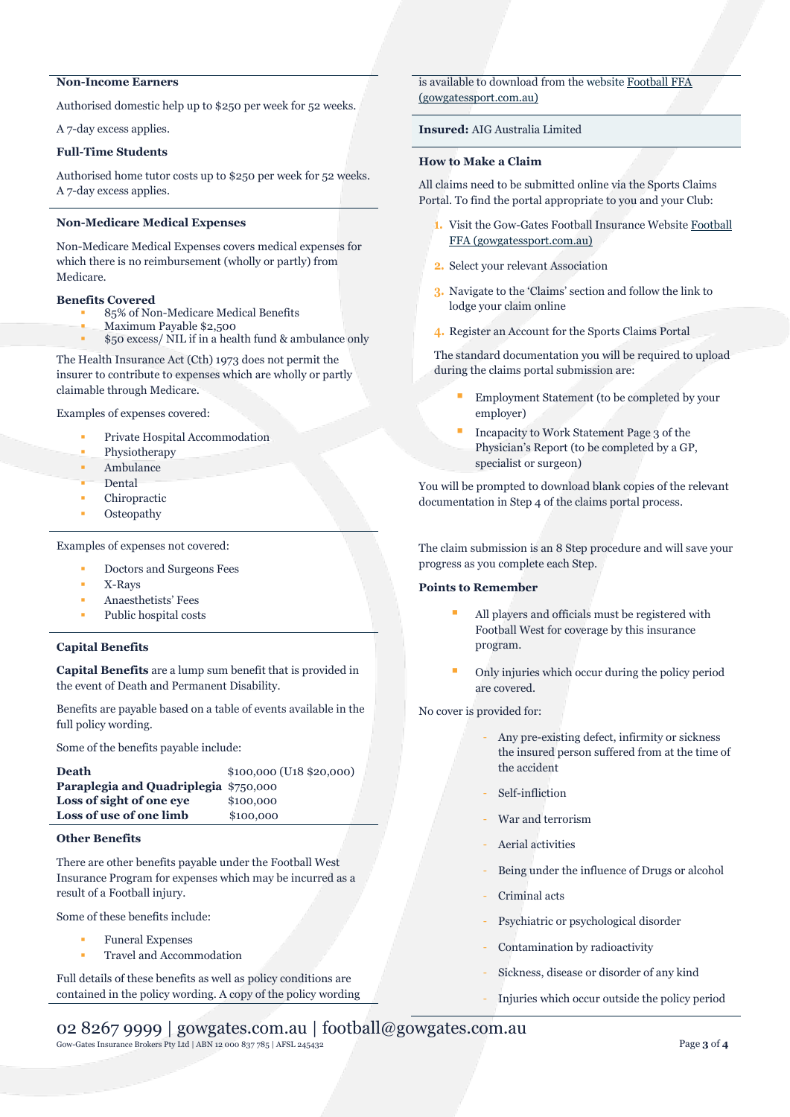# **Non-Income Earners**

Authorised domestic help up to \$250 per week for 52 weeks.

A 7-day excess applies.

## **Full-Time Students**

Authorised home tutor costs up to \$250 per week for 52 weeks. A 7-day excess applies.

## **Non-Medicare Medical Expenses**

Non-Medicare Medical Expenses covers medical expenses for which there is no reimbursement (wholly or partly) from Medicare.

### **Benefits Covered**

- 85% of Non-Medicare Medical Benefits
- Maximum Payable \$2,500
- \$50 excess/ NIL if in a health fund & ambulance only

The Health Insurance Act (Cth) 1973 does not permit the insurer to contribute to expenses which are wholly or partly claimable through Medicare.

Examples of expenses covered:

- Private Hospital Accommodation
- Physiotherapy
- **Ambulance**
- Dental
- Chiropractic
- **Osteopathy**

Examples of expenses not covered:

- Doctors and Surgeons Fees
- X-Rays
- Anaesthetists' Fees
- Public hospital costs

# **Capital Benefits**

**Capital Benefits** are a lump sum benefit that is provided in the event of Death and Permanent Disability.

Benefits are payable based on a table of events available in the full policy wording.

Some of the benefits payable include:

| <b>Death</b>                          | $$100,000$ (U <sub>18</sub> $$20,000$ ) |
|---------------------------------------|-----------------------------------------|
| Paraplegia and Quadriplegia \$750,000 |                                         |
| Loss of sight of one eve              | \$100,000                               |
| Loss of use of one limb               | \$100,000                               |

## **Other Benefits**

There are other benefits payable under the Football West Insurance Program for expenses which may be incurred as a result of a Football injury.

Some of these benefits include:

- Funeral Expenses
- Travel and Accommodation

Full details of these benefits as well as policy conditions are contained in the policy wording. A copy of the policy wording is available to download from the website [Football FFA](https://football.gowgatessport.com.au/)  [\(gowgatessport.com.au\)](https://football.gowgatessport.com.au/)

# **Insured:** AIG Australia Limited

### **How to Make a Claim**

All claims need to be submitted online via the Sports Claims Portal. To find the portal appropriate to you and your Club:

- 1. Visit the Gow-Gates Football Insurance Website Football [FFA \(gowgatessport.com.au\)](https://football.gowgatessport.com.au/)
- **2.** Select your relevant Association
- **3.** Navigate to the 'Claims' section and follow the link to lodge your claim online
- **4.** Register an Account for the Sports Claims Portal

The standard documentation you will be required to upload during the claims portal submission are:

- Employment Statement (to be completed by your employer)
- Incapacity to Work Statement Page 3 of the Physician's Report (to be completed by a GP, specialist or surgeon)

You will be prompted to download blank copies of the relevant documentation in Step 4 of the claims portal process.

The claim submission is an 8 Step procedure and will save your progress as you complete each Step.

## **Points to Remember**

- All players and officials must be registered with Football West for coverage by this insurance program.
- Only injuries which occur during the policy period are covered.

No cover is provided for:

- Any pre-existing defect, infirmity or sickness the insured person suffered from at the time of the accident
- Self-infliction
- War and terrorism
- Aerial activities
- Being under the influence of Drugs or alcohol
- Criminal acts
- Psychiatric or psychological disorder
- Contamination by radioactivity
- Sickness, disease or disorder of any kind
- Injuries which occur outside the policy period